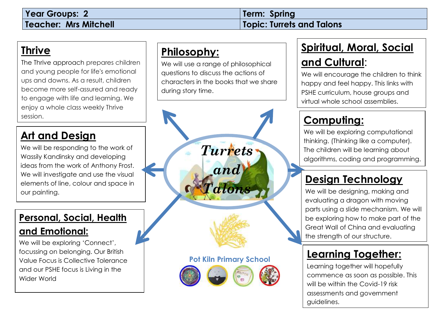#### **Thrive**

The Thrive approach prepares children and [young p](http://www.google.com/url?sa=i&rct=j&q=&esrc=s&source=images&cd=&cad=rja&uact=8&ved=2ahUKEwi98_bthqvcAhUtMuwKHRrPAPIQjRx6BAgBEAU&url=http://www.davisarts.org/event/robin-hood/&psig=AOvVaw2OBOvdDcZzncVX6eNEk2e_&ust=1532084854145451)eople for life's emotional ups and downs. As a result, children become more self-assured and ready to engage with life and learning. We enjoy a whole class weekly Thrive session.

#### **Art and Design**

We will be responding to the work of Wassily Kandinsky and developing ideas from the work of Anthony Frost. We will investigate and use the visual elements of line, colour and space in our painting.

#### **Personal, Social, Health**

#### **and Emotional:**

We will be exploring 'Connect', focussing on belonging. Our British Value Focus is Collective Tolerance and our PSHE focus is Living in the Wider World

### **Philosophy:**

We will use a range of philosophical questions to discuss the actions of characters in the books that we share during story time.



### **Spiritual, Moral, Social**

#### **and Cultural**:

We will encourage the children to think happy and feel happy. This links with PSHE curriculum, house groups and virtual whole school assemblies.

### **Computing:**

We will be exploring computational thinking. (Thinking like a computer). The children will be learning about algorithms, coding and programming.

### **Design Technology**

We will be designing, making and evaluating a dragon with moving parts using a slide mechanism. We will be exploring how to make part of the Great Wall of China and evaluating the strength of our structure.

### **Learning Together:**

Learning together will hopefully commence as soon as possible. This will be within the Covid-19 risk assessments and government guidelines.